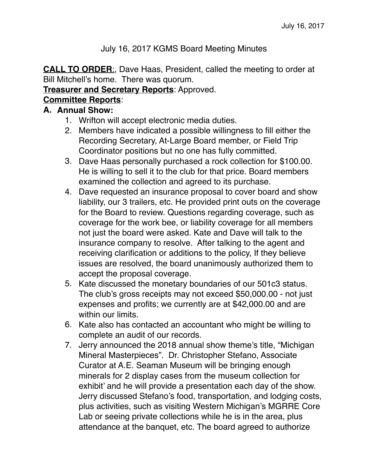## July 16, 2017 KGMS Board Meeting Minutes

**CALL TO ORDER**:, Dave Haas, President, called the meeting to order at Bill Mitchell's home. There was quorum.

#### **Treasurer and Secretary Reports**: Approved.

# **Committee Reports**:

## **A. Annual Show:**

- 1. Wrifton will accept electronic media duties.
- 2. Members have indicated a possible willingness to fill either the Recording Secretary, At-Large Board member, or Field Trip Coordinator positions but no one has fully committed.
- 3. Dave Haas personally purchased a rock collection for \$100.00. He is willing to sell it to the club for that price. Board members examined the collection and agreed to its purchase.
- 4. Dave requested an insurance proposal to cover board and show liability, our 3 trailers, etc. He provided print outs on the coverage for the Board to review. Questions regarding coverage, such as coverage for the work bee, or liability coverage for all members not just the board were asked. Kate and Dave will talk to the insurance company to resolve. After talking to the agent and receiving clarification or additions to the policy, If they believe issues are resolved, the board unanimously authorized them to accept the proposal coverage.
- 5. Kate discussed the monetary boundaries of our 501c3 status. The club's gross receipts may not exceed \$50,000.00 - not just expenses and profits; we currently are at \$42,000.00 and are within our limits.
- 6. Kate also has contacted an accountant who might be willing to complete an audit of our records.
- 7. Jerry announced the 2018 annual show theme's title, "Michigan Mineral Masterpieces". Dr. Christopher Stefano, Associate Curator at A.E. Seaman Museum will be bringing enough minerals for 2 display cases from the museum collection for exhibit' and he will provide a presentation each day of the show. Jerry discussed Stefano's food, transportation, and lodging costs, plus activities, such as visiting Western Michigan's MGRRE Core Lab or seeing private collections while he is in the area, plus attendance at the banquet, etc. The board agreed to authorize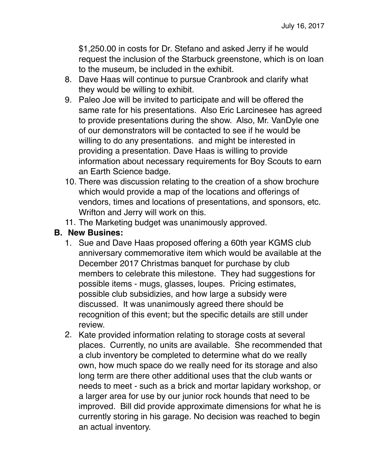\$1,250.00 in costs for Dr. Stefano and asked Jerry if he would request the inclusion of the Starbuck greenstone, which is on loan to the museum, be included in the exhibit.

- 8. Dave Haas will continue to pursue Cranbrook and clarify what they would be willing to exhibit.
- 9. Paleo Joe will be invited to participate and will be offered the same rate for his presentations. Also Eric Larcinesee has agreed to provide presentations during the show. Also, Mr. VanDyle one of our demonstrators will be contacted to see if he would be willing to do any presentations. and might be interested in providing a presentation. Dave Haas is willing to provide information about necessary requirements for Boy Scouts to earn an Earth Science badge.
- 10. There was discussion relating to the creation of a show brochure which would provide a map of the locations and offerings of vendors, times and locations of presentations, and sponsors, etc. Wrifton and Jerry will work on this.
- 11. The Marketing budget was unanimously approved.

### **B. New Busines:**

- 1. Sue and Dave Haas proposed offering a 60th year KGMS club anniversary commemorative item which would be available at the December 2017 Christmas banquet for purchase by club members to celebrate this milestone. They had suggestions for possible items - mugs, glasses, loupes. Pricing estimates, possible club subsidizies, and how large a subsidy were discussed. It was unanimously agreed there should be recognition of this event; but the specific details are still under review.
- 2. Kate provided information relating to storage costs at several places. Currently, no units are available. She recommended that a club inventory be completed to determine what do we really own, how much space do we really need for its storage and also long term are there other additional uses that the club wants or needs to meet - such as a brick and mortar lapidary workshop, or a larger area for use by our junior rock hounds that need to be improved. Bill did provide approximate dimensions for what he is currently storing in his garage. No decision was reached to begin an actual inventory.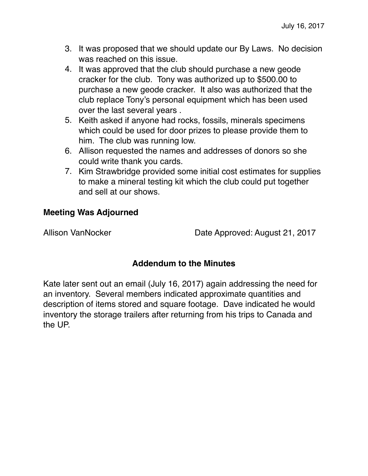- 3. It was proposed that we should update our By Laws. No decision was reached on this issue.
- 4. It was approved that the club should purchase a new geode cracker for the club. Tony was authorized up to \$500.00 to purchase a new geode cracker. It also was authorized that the club replace Tony's personal equipment which has been used over the last several years .
- 5. Keith asked if anyone had rocks, fossils, minerals specimens which could be used for door prizes to please provide them to him. The club was running low.
- 6. Allison requested the names and addresses of donors so she could write thank you cards.
- 7. Kim Strawbridge provided some initial cost estimates for supplies to make a mineral testing kit which the club could put together and sell at our shows.

# **Meeting Was Adjourned**

Allison VanNocker Date Approved: August 21, 2017

# **Addendum to the Minutes**

Kate later sent out an email (July 16, 2017) again addressing the need for an inventory. Several members indicated approximate quantities and description of items stored and square footage. Dave indicated he would inventory the storage trailers after returning from his trips to Canada and the UP.